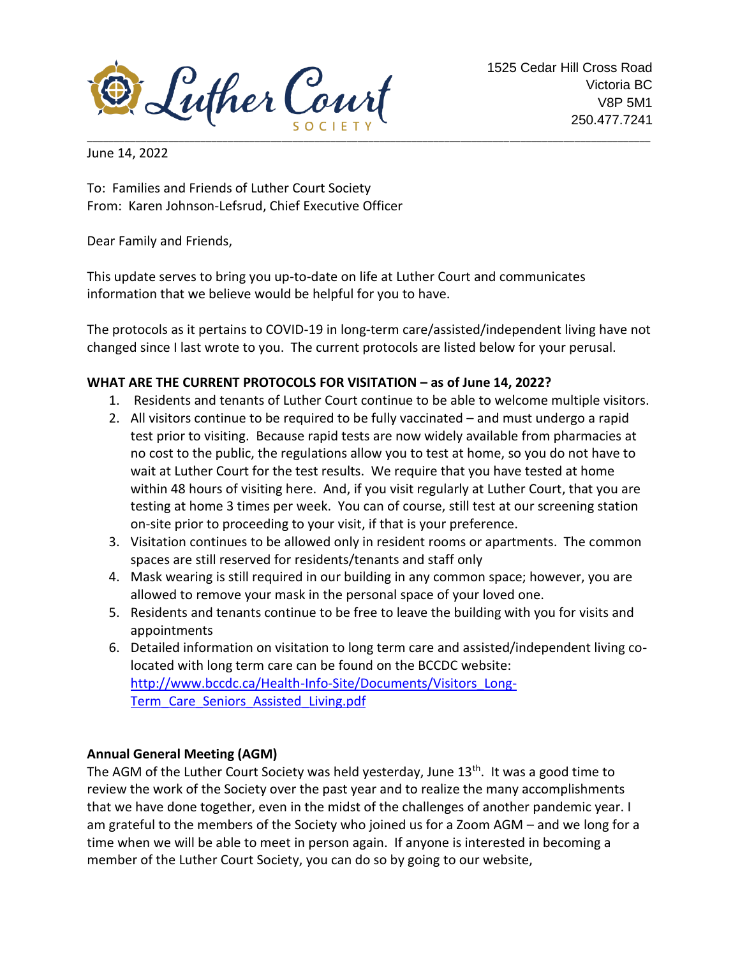Kuther Court

1525 Cedar Hill Cross Road Victoria BC V8P 5M1 250.477.7241

June 14, 2022

To: Families and Friends of Luther Court Society From: Karen Johnson-Lefsrud, Chief Executive Officer

Dear Family and Friends,

This update serves to bring you up-to-date on life at Luther Court and communicates information that we believe would be helpful for you to have.

The protocols as it pertains to COVID-19 in long-term care/assisted/independent living have not changed since I last wrote to you. The current protocols are listed below for your perusal.

\_\_\_\_\_\_\_\_\_\_\_\_\_\_\_\_\_\_\_\_\_\_\_\_\_\_\_\_\_\_\_\_\_\_\_\_\_\_\_\_\_\_\_\_\_\_\_\_\_\_\_\_\_\_\_\_\_\_\_\_\_\_\_\_\_\_\_\_\_\_\_\_\_\_\_\_\_\_\_\_\_\_\_\_\_\_\_\_\_\_\_\_\_\_\_\_\_\_\_\_\_\_\_\_

#### **WHAT ARE THE CURRENT PROTOCOLS FOR VISITATION – as of June 14, 2022?**

- 1. Residents and tenants of Luther Court continue to be able to welcome multiple visitors.
- 2. All visitors continue to be required to be fully vaccinated and must undergo a rapid test prior to visiting. Because rapid tests are now widely available from pharmacies at no cost to the public, the regulations allow you to test at home, so you do not have to wait at Luther Court for the test results. We require that you have tested at home within 48 hours of visiting here. And, if you visit regularly at Luther Court, that you are testing at home 3 times per week. You can of course, still test at our screening station on-site prior to proceeding to your visit, if that is your preference.
- 3. Visitation continues to be allowed only in resident rooms or apartments. The common spaces are still reserved for residents/tenants and staff only
- 4. Mask wearing is still required in our building in any common space; however, you are allowed to remove your mask in the personal space of your loved one.
- 5. Residents and tenants continue to be free to leave the building with you for visits and appointments
- 6. Detailed information on visitation to long term care and assisted/independent living colocated with long term care can be found on the BCCDC website: [http://www.bccdc.ca/Health-Info-Site/Documents/Visitors\\_Long-](http://www.bccdc.ca/Health-Info-Site/Documents/Visitors_Long-Term_Care_Seniors_Assisted_Living.pdf)[Term\\_Care\\_Seniors\\_Assisted\\_Living.pdf](http://www.bccdc.ca/Health-Info-Site/Documents/Visitors_Long-Term_Care_Seniors_Assisted_Living.pdf)

### **Annual General Meeting (AGM)**

The AGM of the Luther Court Society was held yesterday, June 13<sup>th</sup>. It was a good time to review the work of the Society over the past year and to realize the many accomplishments that we have done together, even in the midst of the challenges of another pandemic year. I am grateful to the members of the Society who joined us for a Zoom AGM – and we long for a time when we will be able to meet in person again. If anyone is interested in becoming a member of the Luther Court Society, you can do so by going to our website,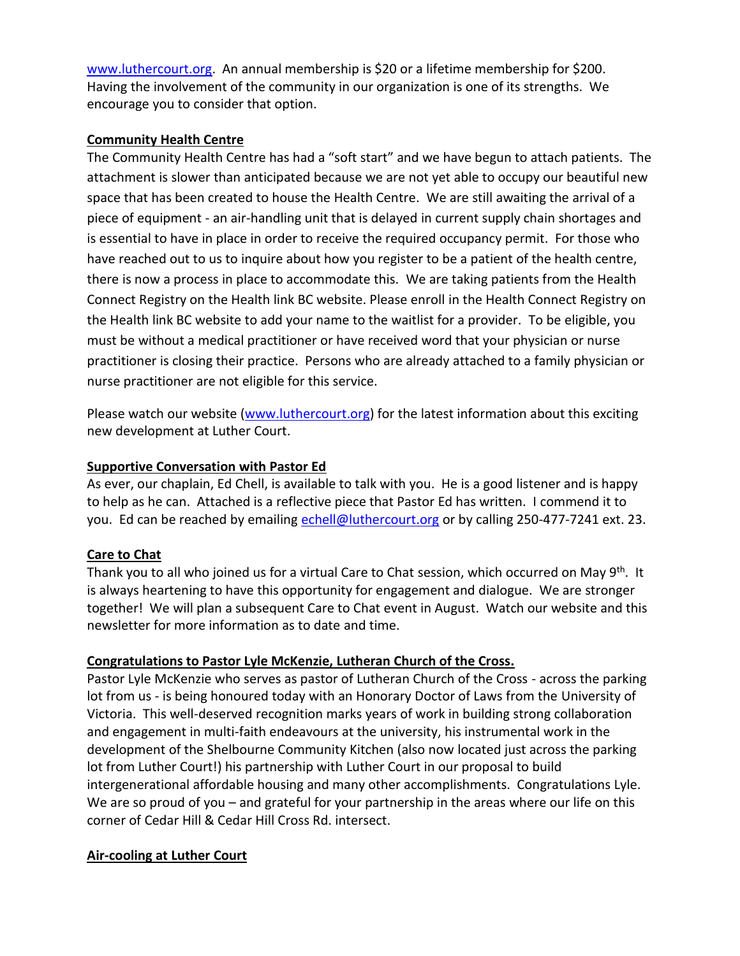[www.luthercourt.org.](http://www.luthercourt.org/) An annual membership is \$20 or a lifetime membership for \$200. Having the involvement of the community in our organization is one of its strengths. We encourage you to consider that option.

### **Community Health Centre**

The Community Health Centre has had a "soft start" and we have begun to attach patients. The attachment is slower than anticipated because we are not yet able to occupy our beautiful new space that has been created to house the Health Centre. We are still awaiting the arrival of a piece of equipment - an air-handling unit that is delayed in current supply chain shortages and is essential to have in place in order to receive the required occupancy permit. For those who have reached out to us to inquire about how you register to be a patient of the health centre, there is now a process in place to accommodate this. We are taking patients from the Health Connect Registry on the Health link BC website. Please enroll in the Health Connect Registry on the Health link BC website to add your name to the waitlist for a provider. To be eligible, you must be without a medical practitioner or have received word that your physician or nurse practitioner is closing their practice. Persons who are already attached to a family physician or nurse practitioner are not eligible for this service.

Please watch our website [\(www.luthercourt.org\)](http://www.luthercourt.org/) for the latest information about this exciting new development at Luther Court.

## **Supportive Conversation with Pastor Ed**

As ever, our chaplain, Ed Chell, is available to talk with you. He is a good listener and is happy to help as he can. Attached is a reflective piece that Pastor Ed has written. I commend it to you. Ed can be reached by emailing [echell@luthercourt.org](mailto:echell@luthercourt.org) or by calling 250-477-7241 ext. 23.

# **Care to Chat**

Thank you to all who joined us for a virtual Care to Chat session, which occurred on May  $9^{th}$ . It is always heartening to have this opportunity for engagement and dialogue. We are stronger together! We will plan a subsequent Care to Chat event in August. Watch our website and this newsletter for more information as to date and time.

# **Congratulations to Pastor Lyle McKenzie, Lutheran Church of the Cross.**

Pastor Lyle McKenzie who serves as pastor of Lutheran Church of the Cross - across the parking lot from us - is being honoured today with an Honorary Doctor of Laws from the University of Victoria. This well-deserved recognition marks years of work in building strong collaboration and engagement in multi-faith endeavours at the university, his instrumental work in the development of the Shelbourne Community Kitchen (also now located just across the parking lot from Luther Court!) his partnership with Luther Court in our proposal to build intergenerational affordable housing and many other accomplishments. Congratulations Lyle. We are so proud of you – and grateful for your partnership in the areas where our life on this corner of Cedar Hill & Cedar Hill Cross Rd. intersect.

# **Air-cooling at Luther Court**